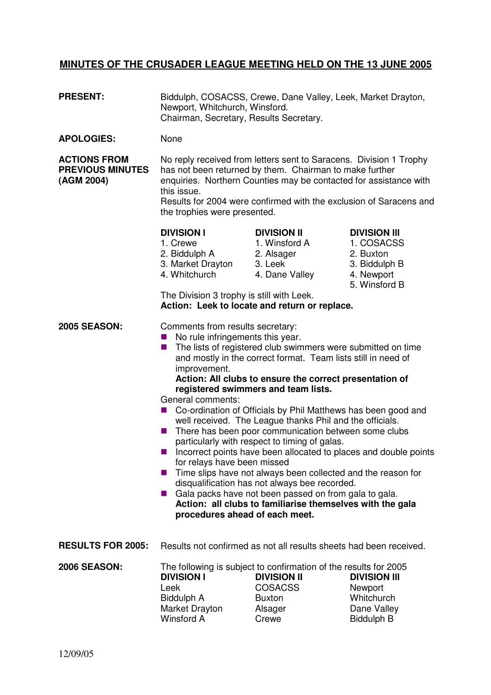## **MINUTES OF THE CRUSADER LEAGUE MEETING HELD ON THE 13 JUNE 2005**

| <b>PRESENT:</b>                                              | Biddulph, COSACSS, Crewe, Dane Valley, Leek, Market Drayton,<br>Newport, Whitchurch, Winsford.<br>Chairman, Secretary, Results Secretary.                                                                                                                                                                                                                                                                                                                                                                                                                                                                                                                                                                                                                                                                                                                                                                                                                                                           |                                                                                                                                               |                                                                                                |
|--------------------------------------------------------------|-----------------------------------------------------------------------------------------------------------------------------------------------------------------------------------------------------------------------------------------------------------------------------------------------------------------------------------------------------------------------------------------------------------------------------------------------------------------------------------------------------------------------------------------------------------------------------------------------------------------------------------------------------------------------------------------------------------------------------------------------------------------------------------------------------------------------------------------------------------------------------------------------------------------------------------------------------------------------------------------------------|-----------------------------------------------------------------------------------------------------------------------------------------------|------------------------------------------------------------------------------------------------|
| <b>APOLOGIES:</b>                                            | None                                                                                                                                                                                                                                                                                                                                                                                                                                                                                                                                                                                                                                                                                                                                                                                                                                                                                                                                                                                                |                                                                                                                                               |                                                                                                |
| <b>ACTIONS FROM</b><br><b>PREVIOUS MINUTES</b><br>(AGM 2004) | No reply received from letters sent to Saracens. Division 1 Trophy<br>has not been returned by them. Chairman to make further<br>enquiries. Northern Counties may be contacted for assistance with<br>this issue.<br>Results for 2004 were confirmed with the exclusion of Saracens and<br>the trophies were presented.                                                                                                                                                                                                                                                                                                                                                                                                                                                                                                                                                                                                                                                                             |                                                                                                                                               |                                                                                                |
|                                                              | <b>DIVISION I</b><br>1. Crewe<br>2. Biddulph A<br>3. Market Drayton<br>4. Whitchurch<br>The Division 3 trophy is still with Leek.                                                                                                                                                                                                                                                                                                                                                                                                                                                                                                                                                                                                                                                                                                                                                                                                                                                                   | <b>DIVISION II</b><br>1. Winsford A<br>2. Alsager<br>3. Leek<br>4. Dane Valley<br>Action: Leek to locate and return or replace.               | <b>DIVISION III</b><br>1. COSACSS<br>2. Buxton<br>3. Biddulph B<br>4. Newport<br>5. Winsford B |
| <b>2005 SEASON:</b>                                          | Comments from results secretary:<br>No rule infringements this year.<br>The lists of registered club swimmers were submitted on time<br>ш<br>and mostly in the correct format. Team lists still in need of<br>improvement.<br>Action: All clubs to ensure the correct presentation of<br>registered swimmers and team lists.<br>General comments:<br>Co-ordination of Officials by Phil Matthews has been good and<br>well received. The League thanks Phil and the officials.<br>There has been poor communication between some clubs<br>ш<br>particularly with respect to timing of galas.<br>Incorrect points have been allocated to places and double points<br>a a<br>for relays have been missed<br>Time slips have not always been collected and the reason for<br>disqualification has not always bee recorded.<br>Gala packs have not been passed on from gala to gala.<br><b>September</b><br>Action: all clubs to familiarise themselves with the gala<br>procedures ahead of each meet. |                                                                                                                                               |                                                                                                |
| <b>RESULTS FOR 2005:</b>                                     | Results not confirmed as not all results sheets had been received.                                                                                                                                                                                                                                                                                                                                                                                                                                                                                                                                                                                                                                                                                                                                                                                                                                                                                                                                  |                                                                                                                                               |                                                                                                |
| <b>2006 SEASON:</b>                                          | <b>DIVISION I</b><br>Leek<br>Biddulph A<br>Market Drayton<br><b>Winsford A</b>                                                                                                                                                                                                                                                                                                                                                                                                                                                                                                                                                                                                                                                                                                                                                                                                                                                                                                                      | The following is subject to confirmation of the results for 2005<br><b>DIVISION II</b><br><b>COSACSS</b><br><b>Buxton</b><br>Alsager<br>Crewe | <b>DIVISION III</b><br>Newport<br>Whitchurch<br>Dane Valley<br><b>Biddulph B</b>               |